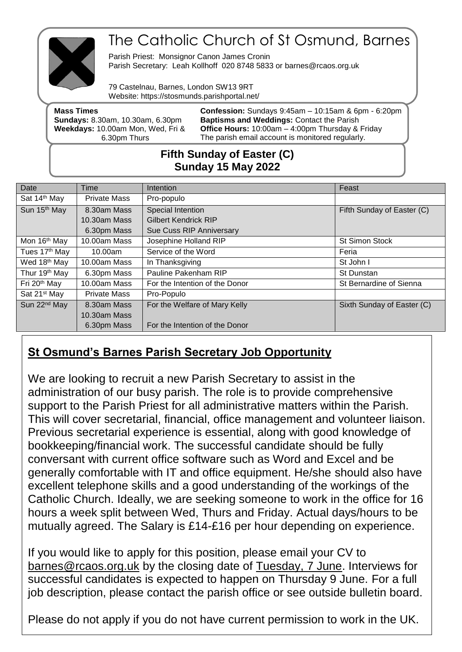

# The Catholic Church of St Osmund, Barnes

Parish Priest: Monsignor Canon James Cronin Parish Secretary: Leah Kollhoff 020 8748 5833 or barnes@rcaos.org.uk

79 Castelnau, Barnes, London SW13 9RT Website: https://stosmunds.parishportal.net/

| <b>Mass Times</b><br><b>Sundays: 8.30am, 10.30am, 6.30pm</b> | <b>Confession:</b> Sundays 9:45am - 10:15am & 6pm - 6:20pm<br><b>Baptisms and Weddings: Contact the Parish</b> |
|--------------------------------------------------------------|----------------------------------------------------------------------------------------------------------------|
| Weekdays: 10.00am Mon, Wed, Fri &                            | <b>Office Hours: 10:00am - 4:00pm Thursday &amp; Friday</b>                                                    |
| 6.30pm Thurs                                                 | The parish email account is monitored regularly.                                                               |
|                                                              |                                                                                                                |

# **Fifth Sunday of Easter (C) Sunday 15 May 2022**

| Date                      | Time                | Intention                      | Feast                      |
|---------------------------|---------------------|--------------------------------|----------------------------|
| Sat 14th May              | <b>Private Mass</b> | Pro-populo                     |                            |
| Sun 15 <sup>th</sup> May  | 8.30am Mass         | Special Intention              | Fifth Sunday of Easter (C) |
|                           | 10.30am Mass        | <b>Gilbert Kendrick RIP</b>    |                            |
|                           | 6.30pm Mass         | Sue Cuss RIP Anniversary       |                            |
| Mon 16 <sup>th</sup> May  | 10.00am Mass        | Josephine Holland RIP          | <b>St Simon Stock</b>      |
| Tues 17 <sup>th</sup> May | 10.00am             | Service of the Word            | Feria                      |
| Wed 18th May              | 10.00am Mass        | In Thanksgiving                | St John I                  |
| Thur 19 <sup>th</sup> May | 6.30pm Mass         | Pauline Pakenham RIP           | St Dunstan                 |
| Fri 20 <sup>th</sup> May  | 10.00am Mass        | For the Intention of the Donor | St Bernardine of Sienna    |
| Sat 21 <sup>st</sup> May  | <b>Private Mass</b> | Pro-Populo                     |                            |
| Sun 22 <sup>nd</sup> May  | 8.30am Mass         | For the Welfare of Mary Kelly  | Sixth Sunday of Easter (C) |
|                           | 10.30am Mass        |                                |                            |
|                           | 6.30pm Mass         | For the Intention of the Donor |                            |

# **St Osmund's Barnes Parish Secretary Job Opportunity**

We are looking to recruit a new Parish Secretary to assist in the administration of our busy parish. The role is to provide comprehensive support to the Parish Priest for all administrative matters within the Parish. This will cover secretarial, financial, office management and volunteer liaison. Previous secretarial experience is essential, along with good knowledge of bookkeeping/financial work. The successful candidate should be fully conversant with current office software such as Word and Excel and be generally comfortable with IT and office equipment. He/she should also have excellent telephone skills and a good understanding of the workings of the Catholic Church. Ideally, we are seeking someone to work in the office for 16 hours a week split between Wed, Thurs and Friday. Actual days/hours to be mutually agreed. The Salary is £14-£16 per hour depending on experience.

If you would like to apply for this position, please email your CV to [barnes@rcaos.org.uk](mailto:barnes@rcaos.org.uk) by the closing date of Tuesday, 7 June. Interviews for successful candidates is expected to happen on Thursday 9 June. For a full job description, please contact the parish office or see outside bulletin board.

Please do not apply if you do not have current permission to work in the UK.